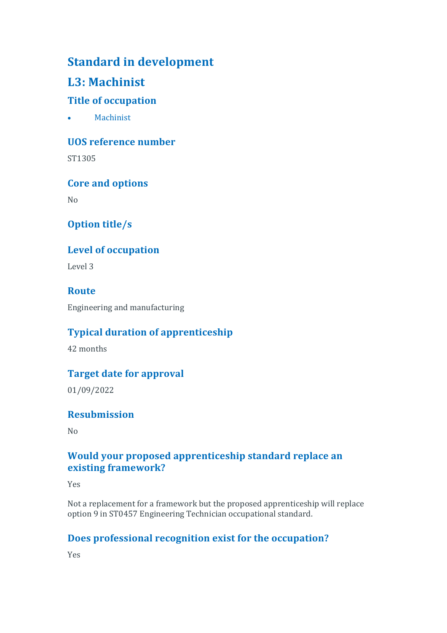# **Standard in development**

# **L3: Machinist**

### **Title of occupation**

• Machinist

**UOS reference number**

ST1305

**Core and options**

No

## **Option title/s**

### **Level of occupation**

Level 3

### **Route**

Engineering and manufacturing

### **Typical duration of apprenticeship**

42 months

### **Target date for approval**

01/09/2022

### **Resubmission**

 $N<sub>0</sub>$ 

### **Would your proposed apprenticeship standard replace an existing framework?**

Yes

Not a replacement for a framework but the proposed apprenticeship will replace option 9 in ST0457 Engineering Technician occupational standard.

### **Does professional recognition exist for the occupation?**

Yes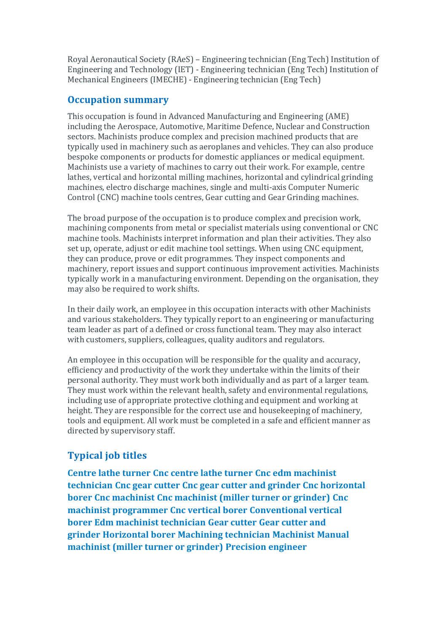Royal Aeronautical Society (RAeS) – Engineering technician (Eng Tech) Institution of Engineering and Technology (IET) - Engineering technician (Eng Tech) Institution of Mechanical Engineers (IMECHE) - Engineering technician (Eng Tech)

#### **Occupation summary**

This occupation is found in Advanced Manufacturing and Engineering (AME) including the Aerospace, Automotive, Maritime Defence, Nuclear and Construction sectors. Machinists produce complex and precision machined products that are typically used in machinery such as aeroplanes and vehicles. They can also produce bespoke components or products for domestic appliances or medical equipment. Machinists use a variety of machines to carry out their work. For example, centre lathes, vertical and horizontal milling machines, horizontal and cylindrical grinding machines, electro discharge machines, single and multi-axis Computer Numeric Control (CNC) machine tools centres, Gear cutting and Gear Grinding machines.

The broad purpose of the occupation is to produce complex and precision work, machining components from metal or specialist materials using conventional or CNC machine tools. Machinists interpret information and plan their activities. They also set up, operate, adjust or edit machine tool settings. When using CNC equipment, they can produce, prove or edit programmes. They inspect components and machinery, report issues and support continuous improvement activities. Machinists typically work in a manufacturing environment. Depending on the organisation, they may also be required to work shifts.

In their daily work, an employee in this occupation interacts with other Machinists and various stakeholders. They typically report to an engineering or manufacturing team leader as part of a defined or cross functional team. They may also interact with customers, suppliers, colleagues, quality auditors and regulators.

An employee in this occupation will be responsible for the quality and accuracy, efficiency and productivity of the work they undertake within the limits of their personal authority. They must work both individually and as part of a larger team. They must work within the relevant health, safety and environmental regulations, including use of appropriate protective clothing and equipment and working at height. They are responsible for the correct use and housekeeping of machinery, tools and equipment. All work must be completed in a safe and efficient manner as directed by supervisory staff.

### **Typical job titles**

**Centre lathe turner Cnc centre lathe turner Cnc edm machinist technician Cnc gear cutter Cnc gear cutter and grinder Cnc horizontal borer Cnc machinist Cnc machinist (miller turner or grinder) Cnc machinist programmer Cnc vertical borer Conventional vertical borer Edm machinist technician Gear cutter Gear cutter and grinder Horizontal borer Machining technician Machinist Manual machinist (miller turner or grinder) Precision engineer**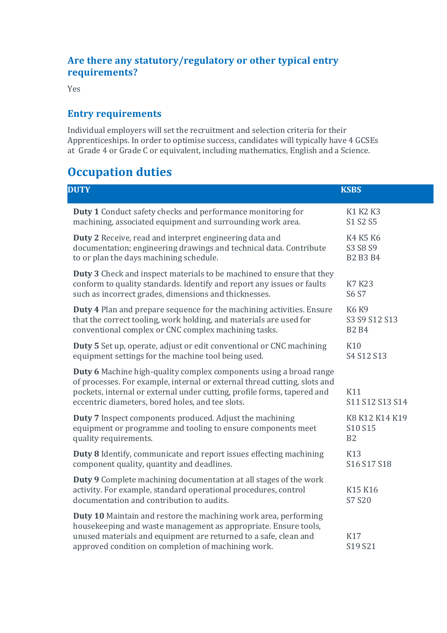### **Are there any statutory/regulatory or other typical entry requirements?**

Yes

### **Entry requirements**

Individual employers will set the recruitment and selection criteria for their Apprenticeships. In order to optimise success, candidates will typically have 4 GCSEs at Grade 4 or Grade C or equivalent, including mathematics, English and a Science.

# **Occupation duties**

| <b>DUTY</b> |                                                                                                                                                                                                                                                                                | <b>KSBS</b>                                   |  |
|-------------|--------------------------------------------------------------------------------------------------------------------------------------------------------------------------------------------------------------------------------------------------------------------------------|-----------------------------------------------|--|
|             | <b>Duty 1</b> Conduct safety checks and performance monitoring for<br>machining, associated equipment and surrounding work area.                                                                                                                                               | K1 K2 K3<br>S1 S2 S5                          |  |
|             | Duty 2 Receive, read and interpret engineering data and<br>documentation; engineering drawings and technical data. Contribute<br>to or plan the days machining schedule.                                                                                                       | K4 K5 K6<br>S3 S8 S9<br><b>B2 B3 B4</b>       |  |
|             | <b>Duty 3</b> Check and inspect materials to be machined to ensure that they<br>conform to quality standards. Identify and report any issues or faults<br>such as incorrect grades, dimensions and thicknesses.                                                                | <b>K7 K23</b><br>S6 S7                        |  |
|             | <b>Duty 4</b> Plan and prepare sequence for the machining activities. Ensure<br>that the correct tooling, work holding, and materials are used for<br>conventional complex or CNC complex machining tasks.                                                                     | <b>K6 K9</b><br>S3 S9 S12 S13<br><b>B2 B4</b> |  |
|             | Duty 5 Set up, operate, adjust or edit conventional or CNC machining<br>equipment settings for the machine tool being used.                                                                                                                                                    | K10<br>S4 S12 S13                             |  |
|             | Duty 6 Machine high-quality complex components using a broad range<br>of processes. For example, internal or external thread cutting, slots and<br>pockets, internal or external under cutting, profile forms, tapered and<br>eccentric diameters, bored holes, and tee slots. | K11<br>S11 S12 S13 S14                        |  |
|             | Duty 7 Inspect components produced. Adjust the machining<br>equipment or programme and tooling to ensure components meet<br>quality requirements.                                                                                                                              | K8 K12 K14 K19<br>S10 S15<br>B <sub>2</sub>   |  |
|             | Duty 8 Identify, communicate and report issues effecting machining<br>component quality, quantity and deadlines.                                                                                                                                                               | K13<br>S16 S17 S18                            |  |
|             | Duty 9 Complete machining documentation at all stages of the work<br>activity. For example, standard operational procedures, control<br>documentation and contribution to audits.                                                                                              | K15 K16<br>S7 S20                             |  |
|             | Duty 10 Maintain and restore the machining work area, performing<br>housekeeping and waste management as appropriate. Ensure tools,<br>unused materials and equipment are returned to a safe, clean and<br>approved condition on completion of machining work.                 | K17<br>S19 S21                                |  |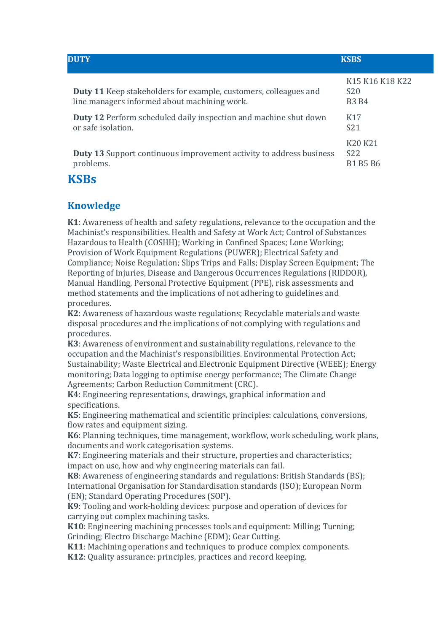| <b>DUTY</b>                                                                                                             | <b>KSBS</b>                                                                                        |  |
|-------------------------------------------------------------------------------------------------------------------------|----------------------------------------------------------------------------------------------------|--|
| <b>Duty 11</b> Keep stakeholders for example, customers, colleagues and<br>line managers informed about machining work. | K <sub>15</sub> K <sub>16</sub> K <sub>18</sub> K <sub>22</sub><br>S <sub>20</sub><br><b>B3 B4</b> |  |
| <b>Duty 12</b> Perform scheduled daily inspection and machine shut down<br>or safe isolation.                           | K <sub>17</sub><br>S <sub>21</sub>                                                                 |  |
| <b>Duty 13</b> Support continuous improvement activity to address business<br>problems.                                 | K <sub>20</sub> K <sub>21</sub><br>S <sub>22</sub><br><b>B1 B5 B6</b>                              |  |

## **KSBs**

## **Knowledge**

**K1**: Awareness of health and safety regulations, relevance to the occupation and the Machinist's responsibilities. Health and Safety at Work Act; Control of Substances Hazardous to Health (COSHH); Working in Confined Spaces; Lone Working; Provision of Work Equipment Regulations (PUWER); Electrical Safety and Compliance; Noise Regulation; Slips Trips and Falls; Display Screen Equipment; The Reporting of Injuries, Disease and Dangerous Occurrences Regulations (RIDDOR), Manual Handling, Personal Protective Equipment (PPE), risk assessments and method statements and the implications of not adhering to guidelines and procedures.

**K2**: Awareness of hazardous waste regulations; Recyclable materials and waste disposal procedures and the implications of not complying with regulations and procedures.

**K3**: Awareness of environment and sustainability regulations, relevance to the occupation and the Machinist's responsibilities. Environmental Protection Act; Sustainability; Waste Electrical and Electronic Equipment Directive (WEEE); Energy monitoring; Data logging to optimise energy performance; The Climate Change Agreements; Carbon Reduction Commitment (CRC).

**K4**: Engineering representations, drawings, graphical information and specifications.

**K5**: Engineering mathematical and scientific principles: calculations, conversions, flow rates and equipment sizing.

**K6**: Planning techniques, time management, workflow, work scheduling, work plans, documents and work categorisation systems.

**K7**: Engineering materials and their structure, properties and characteristics; impact on use, how and why engineering materials can fail.

**K8**: Awareness of engineering standards and regulations: British Standards (BS); International Organisation for Standardisation standards (ISO); European Norm (EN); Standard Operating Procedures (SOP).

**K9**: Tooling and work-holding devices: purpose and operation of devices for carrying out complex machining tasks.

**K10**: Engineering machining processes tools and equipment: Milling; Turning; Grinding; Electro Discharge Machine (EDM); Gear Cutting.

**K11**: Machining operations and techniques to produce complex components.

**K12**: Quality assurance: principles, practices and record keeping.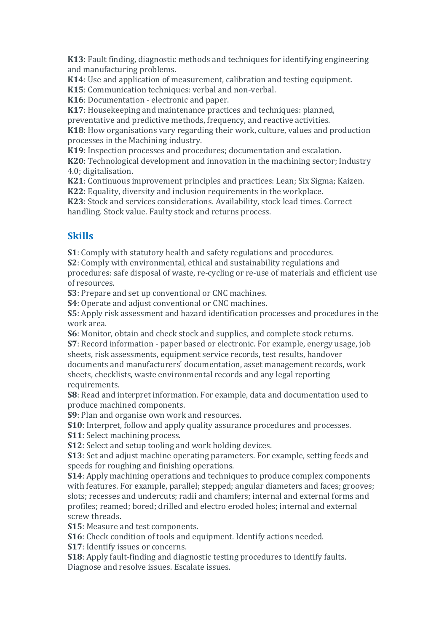**K13**: Fault finding, diagnostic methods and techniques for identifying engineering and manufacturing problems.

**K14**: Use and application of measurement, calibration and testing equipment.

**K15**: Communication techniques: verbal and non-verbal.

**K16**: Documentation - electronic and paper.

**K17**: Housekeeping and maintenance practices and techniques: planned,

preventative and predictive methods, frequency, and reactive activities.

**K18**: How organisations vary regarding their work, culture, values and production processes in the Machining industry.

**K19**: Inspection processes and procedures; documentation and escalation.

**K20**: Technological development and innovation in the machining sector; Industry 4.0; digitalisation.

**K21**: Continuous improvement principles and practices: Lean; Six Sigma; Kaizen.

**K22**: Equality, diversity and inclusion requirements in the workplace.

**K23**: Stock and services considerations. Availability, stock lead times. Correct handling. Stock value. Faulty stock and returns process.

#### **Skills**

**S1**: Comply with statutory health and safety regulations and procedures.

**S2**: Comply with environmental, ethical and sustainability regulations and

procedures: safe disposal of waste, re-cycling or re-use of materials and efficient use of resources.

**S3**: Prepare and set up conventional or CNC machines.

**S4**: Operate and adjust conventional or CNC machines.

**S5**: Apply risk assessment and hazard identification processes and procedures in the work area.

**S6**: Monitor, obtain and check stock and supplies, and complete stock returns.

**S7**: Record information - paper based or electronic. For example, energy usage, job sheets, risk assessments, equipment service records, test results, handover documents and manufacturers' documentation, asset management records, work sheets, checklists, waste environmental records and any legal reporting requirements.

**S8**: Read and interpret information. For example, data and documentation used to produce machined components.

**S9**: Plan and organise own work and resources.

**S10**: Interpret, follow and apply quality assurance procedures and processes.

**S11**: Select machining process.

**S12**: Select and setup tooling and work holding devices.

**S13**: Set and adjust machine operating parameters. For example, setting feeds and speeds for roughing and finishing operations.

**S14**: Apply machining operations and techniques to produce complex components with features. For example, parallel; stepped; angular diameters and faces; grooves; slots; recesses and undercuts; radii and chamfers; internal and external forms and profiles; reamed; bored; drilled and electro eroded holes; internal and external screw threads.

**S15**: Measure and test components.

**S16**: Check condition of tools and equipment. Identify actions needed.

**S17**: Identify issues or concerns.

**S18**: Apply fault-finding and diagnostic testing procedures to identify faults. Diagnose and resolve issues. Escalate issues.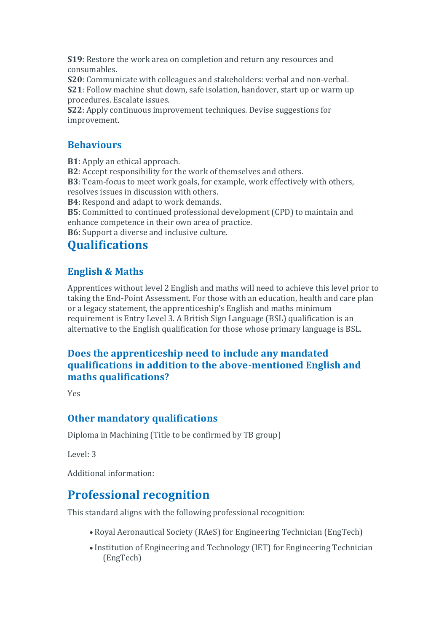**S19**: Restore the work area on completion and return any resources and consumables.

**S20**: Communicate with colleagues and stakeholders: verbal and non-verbal. **S21**: Follow machine shut down, safe isolation, handover, start up or warm up procedures. Escalate issues.

**S22**: Apply continuous improvement techniques. Devise suggestions for improvement.

### **Behaviours**

**B1**: Apply an ethical approach.

**B2**: Accept responsibility for the work of themselves and others.

**B3**: Team-focus to meet work goals, for example, work effectively with others, resolves issues in discussion with others.

**B4**: Respond and adapt to work demands.

**B5**: Committed to continued professional development (CPD) to maintain and enhance competence in their own area of practice.

**B6**: Support a diverse and inclusive culture.

# **Qualifications**

## **English & Maths**

Apprentices without level 2 English and maths will need to achieve this level prior to taking the End-Point Assessment. For those with an education, health and care plan or a legacy statement, the apprenticeship's English and maths minimum requirement is Entry Level 3. A British Sign Language (BSL) qualification is an alternative to the English qualification for those whose primary language is BSL.

### **Does the apprenticeship need to include any mandated qualifications in addition to the above-mentioned English and maths qualifications?**

Yes

### **Other mandatory qualifications**

Diploma in Machining (Title to be confirmed by TB group)

Level: 3

Additional information:

# **Professional recognition**

This standard aligns with the following professional recognition:

- Royal Aeronautical Society (RAeS) for Engineering Technician (EngTech)
- Institution of Engineering and Technology (IET) for Engineering Technician (EngTech)